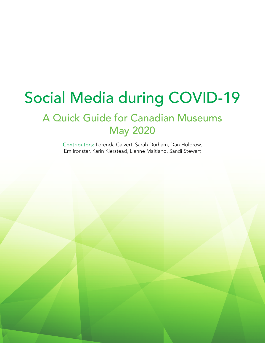# Social Media during COVID-19

# A Quick Guide for Canadian Museums May 2020

Contributors: Lorenda Calvert, Sarah Durham, Dan Holbrow, Em Ironstar, Karin Kierstead, Lianne Maitland, Sandi Stewart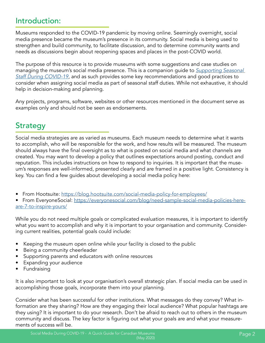### Introduction:

Museums responded to the COVID-19 pandemic by moving online. Seemingly overnight, social media presence became the museum's presence in its community. Social media is being used to strengthen and build community, to facilitate discussion, and to determine community wants and needs as discussions begin about reopening spaces and places in the post-COVID world.

The purpose of this resource is to provide museums with some suggestions and case studies on managing the museum's social media presence. This is a companion guide to *[Supporting Seasonal](https://saskmuseums.org/blog/entry/supporting-seasonal-staff-during-covid-19)  [Staff During COVID-19](https://saskmuseums.org/blog/entry/supporting-seasonal-staff-during-covid-19)*, and as such provides some key recommendations and good practices to consider when assigning social media as part of seasonal staff duties. While not exhaustive, it should help in decision-making and planning.

Any projects, programs, software, websites or other resources mentioned in the document serve as examples only and should not be seen as endorsements.

### **Strategy**

Social media strategies are as varied as museums. Each museum needs to determine what it wants to accomplish, who will be responsible for the work, and how results will be measured. The museum should always have the final oversight as to what is posted on social media and what channels are created. You may want to develop a policy that outlines expectations around posting, conduct and reputation. This includes instructions on how to respond to inquiries. It is important that the museum's responses are well-informed, presented clearly and are framed in a positive light. Consistency is key. You can find a few guides about developing a social media policy here:

• From Hootsuite: <https://blog.hootsuite.com/social-media-policy-for-employees/>

• From EveryoneSocial: [https://everyonesocial.com/blog/need-sample-social-media-policies-here](https://everyonesocial.com/blog/need-sample-social-media-policies-here-are-7-to-inspire-yours/)[are-7-to-inspire-yours/](https://everyonesocial.com/blog/need-sample-social-media-policies-here-are-7-to-inspire-yours/)

While you do not need multiple goals or complicated evaluation measures, it is important to identify what you want to accomplish and why it is important to your organisation and community. Considering current realities, potential goals could include:

- Keeping the museum open online while your facility is closed to the public
- Being a community cheerleader
- Supporting parents and educators with online resources
- Expanding your audience
- **Fundraising**

It is also important to look at your organisation's overall strategic plan. If social media can be used in accomplishing those goals, incorporate them into your planning.

Consider what has been successful for other institutions. What messages do they convey? What information are they sharing? How are they engaging their local audience? What popular hashtags are they using? It is important to do your research. Don't be afraid to reach out to others in the museum community and discuss. The key factor is figuring out what your goals are and what your measurements of success will be.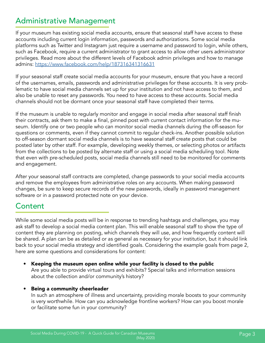### Administrative Management

If your museum has existing social media accounts, ensure that seasonal staff have access to these accounts including current login information, passwords and authorizations. Some social media platforms such as Twitter and Instagram just require a username and password to login, while others, such as Facebook, require a current administrator to grant access to allow other users administrator privileges. Read more about the different levels of Facebook admin privileges and how to manage admins:<https://www.facebook.com/help/187316341316631>

If your seasonal staff create social media accounts for your museum, ensure that you have a record of the usernames, emails, passwords and administrative privileges for these accounts. It is very problematic to have social media channels set up for your institution and not have access to them, and also be unable to reset any passwords. You need to have access to these accounts. Social media channels should not be dormant once your seasonal staff have completed their terms.

If the museum is unable to regularly monitor and engage in social media after seasonal staff finish their contracts, ask them to make a final, pinned post with current contact information for the museum. Identify one or two people who can monitor social media channels during the off-season for questions or comments, even if they cannot commit to regular check-ins. Another possible solution to off-season dormant social media channels is to have seasonal staff create posts that could be posted later by other staff. For example, developing weekly themes, or selecting photos or artifacts from the collections to be posted by alternate staff or using a social media scheduling tool. Note that even with pre-scheduled posts, social media channels still need to be monitored for comments and engagement.

After your seasonal staff contracts are completed, change passwords to your social media accounts and remove the employees from administrative roles on any accounts. When making password changes, be sure to keep secure records of the new passwords, ideally in password management software or in a password protected note on your device.

### Content

While some social media posts will be in response to trending hashtags and challenges, you may ask staff to develop a social media content plan. This will enable seasonal staff to show the type of content they are planning on posting, which channels they will use, and how frequently content will be shared. A plan can be as detailed or as general as necessary for your institution, but it should link back to your social media strategy and identified goals. Considering the example goals from page 2, here are some questions and considerations for content:

• Keeping the museum open online while your facility is closed to the public Are you able to provide virtual tours and exhibits? Special talks and information sessions about the collection and/or community's history?

#### • Being a community cheerleader

In such an atmosphere of illness and uncertainty, providing morale boosts to your community is very worthwhile. How can you acknowledge frontline workers? How can you boost morale or facilitate some fun in your community?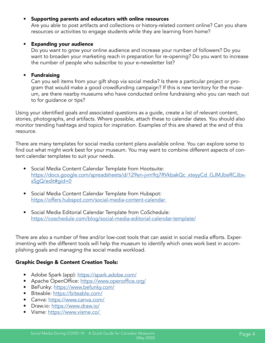#### • Supporting parents and educators with online resources

Are you able to post artifacts and collections or history-related content online? Can you share resources or activities to engage students while they are learning from home?

#### • Expanding your audience

Do you want to grow your online audience and increase your number of followers? Do you want to broaden your marketing reach in preparation for re-opening? Do you want to increase the number of people who subscribe to your e-newsletter list?

#### • Fundraising

Can you sell items from your gift shop via social media? Is there a particular project or program that would make a good crowdfunding campaign? If this is new territory for the museum, are there nearby museums who have conducted online fundraising who you can reach out to for guidance or tips?

Using your identified goals and associated questions as a guide, create a list of relevant content, stories, photographs, and artifacts. Where possible, attach these to calendar dates. You should also monitor trending hashtags and topics for inspiration. Examples of this are shared at the end of this resource.

There are many templates for social media content plans available online. You can explore some to find out what might work best for your museum. You may want to combine different aspects of content calendar templates to suit your needs.

- Social Media Content Calendar Template from Hootsuite: [https://docs.google.com/spreadsheets/d/129en-jvm9q7RVkbakQc\\_xteyyCd\\_GJMJbeRCJbx](https://docs.google.com/spreadsheets/d/129en-jvm9q7RVkbakQc_xteyyCd_GJMJbeRCJbxsSgQ/edit#gid=0)[sSgQ/edit#gid=0](https://docs.google.com/spreadsheets/d/129en-jvm9q7RVkbakQc_xteyyCd_GJMJbeRCJbxsSgQ/edit#gid=0)
- Social Media Content Calendar Template from Hubspot: <https://offers.hubspot.com/social-media-content-calendar>
- Social Media Editorial Calendar Template from CoSchedule: <https://coschedule.com/blog/social-media-editorial-calendar-template/>

There are also a number of free and/or low-cost tools that can assist in social media efforts. Experimenting with the different tools will help the museum to identify which ones work best in accomplishing goals and managing the social media workload.

#### Graphic Design & Content Creation Tools:

- Adobe Spark (app):<https://spark.adobe.com/>
- Apache OpenOffice:<https://www.openoffice.org/>
- BeFunky:<https://www.befunky.com/>
- Biteable: <https://biteable.com/>
- Canva:<https://www.canva.com/>
- Draw.io:<https://www.draw.io/>
- Visme: https://www.visme.co/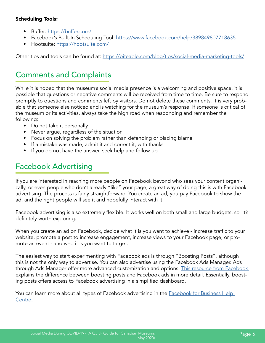### Scheduling Tools:

- Buffer:<https://buffer.com/>
- Facebook's Built-In Scheduling Tool:<https://www.facebook.com/help/389849807718635>
- Hootsuite: <https://hootsuite.com/>

Other tips and tools can be found at:<https://biteable.com/blog/tips/social-media-marketing-tools/>

### Comments and Complaints

While it is hoped that the museum's social media presence is a welcoming and positive space, it is possible that questions or negative comments will be received from time to time. Be sure to respond promptly to questions and comments left by visitors. Do not delete these comments. It is very probable that someone else noticed and is watching for the museum's response. If someone is critical of the museum or its activities, always take the high road when responding and remember the following:

- Do not take it personally
- Never argue, regardless of the situation
- Focus on solving the problem rather than defending or placing blame
- If a mistake was made, admit it and correct it, with thanks
- If you do not have the answer, seek help and follow-up

### Facebook Advertising

If you are interested in reaching more people on Facebook beyond who sees your content organically, or even people who don't already "like" your page, a great way of doing this is with Facebook advertising. The process is fairly straightforward. You create an ad, you pay Facebook to show the ad, and the right people will see it and hopefully interact with it.

Facebook advertising is also extremely flexible. It works well on both small and large budgets, so it's definitely worth exploring.

When you create an ad on Facebook, decide what it is you want to achieve - increase traffic to your website, promote a post to increase engagement, increase views to your Facebook page, or promote an event - and who it is you want to target.

The easiest way to start experimenting with Facebook ads is through "Boosting Posts", although this is not the only way to advertise. You can also advertise using the Facebook Ads Manager. Ads through Ads Manager offer more advanced customization and options. [This resource from Facebook](https://www.facebook.com/business/help/317083072148603)  explains the difference between boosting posts and Facebook ads in more detail. Essentially, boosting posts offers access to Facebook advertising in a simplified dashboard.

You can learn more about all types of Facebook advertising in the **Facebook for Business Help** [Centre.](https://www.facebook.com/business/help/169249477193317)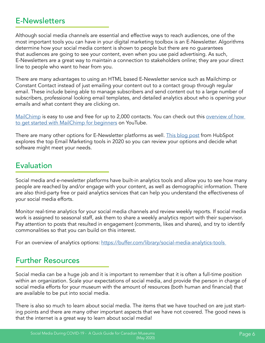### E-Newsletters

Although social media channels are essential and effective ways to reach audiences, one of the most important tools you can have in your digital marketing toolbox is an E-Newsletter. Algorithms determine how your social media content is shown to people but there are no guarantees that audiences are going to see your content, even when you use paid advertising. As such, E-Newsletters are a great way to maintain a connection to stakeholders online; they are your direct line to people who want to hear from you.

There are many advantages to using an HTML based E-Newsletter service such as Mailchimp or Constant Contact instead of just emailing your content out to a contact group through regular email. These include being able to manage subscribers and send content out to a large number of subscribers, professional looking email templates, and detailed analytics about who is opening your emails and what content they are clicking on.

[MailChimp](https://mailchimp.com/) is easy to use and free for up to 2,000 contacts. You can check out this overview of how [to get started with MailChimp for beginners](https://www.youtube.com/watch?v=9i_WVm5LPSc) on YouTube.

There are many other options for E-Newsletter platforms as well. [This blog post](https://blog.hubspot.com/marketing/best-email-marketing-services) from HubSpot explores the top Email Marketing tools in 2020 so you can review your options and decide what software might meet your needs.

### Evaluation

Social media and e-newsletter platforms have built-in analytics tools and allow you to see how many people are reached by and/or engage with your content, as well as demographic information. There are also third-party free or paid analytics services that can help you understand the effectiveness of your social media efforts.

Monitor real-time analytics for your social media channels and review weekly reports. If social media work is assigned to seasonal staff, ask them to share a weekly analytics report with their supervisor. Pay attention to posts that resulted in engagement (comments, likes and shares), and try to identify commonalities so that you can build on this interest.

For an overview of analytics options: https://buffer.com/library/social-media-analytics-tools

### Further Resources

Social media can be a huge job and it is important to remember that it is often a full-time position within an organization. Scale your expectations of social media, and provide the person in charge of social media efforts for your museum with the amount of resources (both human and financial) that are available to be put into social media.

There is also so much to learn about social media. The items that we have touched on are just starting points and there are many other important aspects that we have not covered. The good news is that the internet is a great way to learn about social media!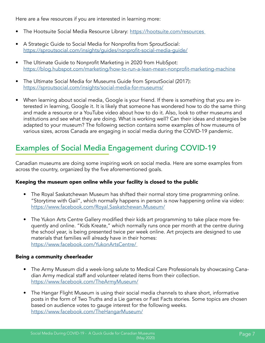Here are a few resources if you are interested in learning more:

- The Hootsuite Social Media Resource Library: https://hootsuite.com/resources
- A Strategic Guide to Social Media for Nonprofits from SproutSocial: <https://sproutsocial.com/insights/guides/nonprofit-social-media-guide/>
- The Ultimate Guide to Nonprofit Marketing in 2020 from HubSpot: <https://blog.hubspot.com/marketing/how-to-run-a-lean-mean-nonprofit-marketing-machine>
- The Ultimate Social Media for Museums Guide from SproutSocial (2017): <https://sproutsocial.com/insights/social-media-for-museums/>
- When learning about social media, Google is your friend. If there is something that you are interested in learning, Google it. It is likely that someone has wondered how to do the same thing and made a resource or a YouTube video about how to do it. Also, look to other museums and institutions and see what they are doing. What is working well? Can their ideas and strategies be adapted to your museum? The following section contains some examples of how museums of various sizes, across Canada are engaging in social media during the COVID-19 pandemic.

### Examples of Social Media Engagement during COVID-19

Canadian museums are doing some inspiring work on social media. Here are some examples from across the country, organized by the five aforementioned goals.

#### Keeping the museum open online while your facility is closed to the public

- The Royal Saskatchewan Museum has shifted their normal story time programming online. "Storytime with Gail", which normally happens in person is now happening online via video: <https://www.facebook.com/Royal.Saskatchewan.Museum/>
- The Yukon Arts Centre Gallery modified their kids art programming to take place more frequently and online. "Kids Kreate," which normally runs once per month at the centre during the school year, is being presented twice per week online. Art projects are designed to use materials that families will already have in their homes: [https://www.facebook.com/YukonArtsCentre/](https://www.facebook.com/YukonArtsCentre/ )

#### Being a community cheerleader

- The Army Museum did a week-long salute to Medical Care Professionals by showcasing Canadian Army medical staff and volunteer related items from their collection. <https://www.facebook.com/TheArmyMuseum/>
- The Hangar Flight Museum is using their social media channels to share short, informative posts in the form of Two Truths and a Lie games or Fast Facts stories. Some topics are chosen based on audience votes to gauge interest for the following weeks. <https://www.facebook.com/TheHangarMuseum/>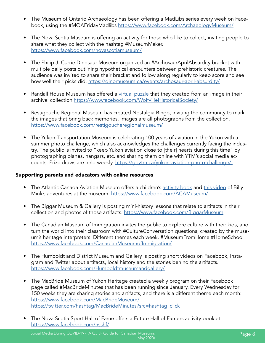- The Museum of Ontario Archaeology has been offering a MadLibs series every week on Facebook, using the #MOAFridayMadlibs <https://www.facebook.com/ArchaeologyMuseum/>
- The Nova Scotia Museum is offering an activity for those who like to collect, inviting people to share what they collect with the hashtag #MuseumMaker. <https://www.facebook.com/novascotiamuseum/>
- The Philip J. Currie Dinosaur Museum organized an #ArchosaurAprilAbsurdity bracket with multiple daily posts outlining hypothetical encounters between prehistoric creatures. The audience was invited to share their bracket and follow along regularly to keep score and see how well their picks did. <https://dinomuseum.ca/events/archosaur-april-absurdity/>
- Randall House Museum has offered a [virtual puzzle](https://www.jigsawexplorer.com/online-jigsaw-puzzle-player.html?url=aHR0cDovL3JhbmRhbGxob3VzZS5hbnNtY29sbGVjdGlvbnMuY2EvbWVkaWEvcmFuZGFsbGhvdXNlL2ltYWdlcy8yLzEvNjQ0ODlfY2Ffb2JqZWN0X3JlcHJlc2VudGF0aW9uc19tZWRpYV8yMTMzX3ByZXZpZXcxNzAuanBn&cred=V29sZnZpbGxlIEhpc3RvcmljYWwgU29jaWV0eSA~&nop=50&color=plum) that they created from an image in their archival collection <https://www.facebook.com/WolfvilleHistoricalSociety/>
- Restigouche Regional Museum has created Nostalgia Bingo, inviting the community to mark the images that bring back memories. Images are all photographs from the collection. <https://www.facebook.com/restigoucheregionalmuseum/>
- The Yukon Transportation Museum is celebrating 100 years of aviation in the Yukon with a summer photo challenge, which also acknowledges the challenges currently facing the industry. The public is invited to "keep Yukon aviation close to [their] hearts during this time" by photographing planes, hangars, etc. and sharing them online with YTM's social media accounts. Prize draws are held weekly. <https://goytm.ca/yukon-aviation-photo-challenge/>

#### Supporting parents and educators with online resources

- The Atlantic Canada Aviation Museum offers a children's [activity book](https://acamuseum.ca/groups-tours/kids-schools/?fbclid=IwAR1WpOayS3M0aHDc4XLes8dt8T03OjYMgFbQ9OLCFDtZzlNdykiG-UHmqjA) and [this video](https://www.youtube.com/watch?v=zRUW7qk0F5c&fbclid=IwAR3bmUOmdcM-_gTztRyCAVZMcGorZGSTJOitvLAWdDDtwJOxl0t2MQIm_10) of Billy Mink's adventures at the museum. <https://www.facebook.com/ACAMuseum/>
- The Biggar Museum & Gallery is posting mini-history lessons that relate to artifacts in their collection and photos of those artifacts. <https://www.facebook.com/BiggarMuseum>
- The Canadian Museum of Immigration invites the public to explore culture with their kids, and turn the world into their classroom with #CultureConversation questions, created by the museum's heritage interpreters. Different themes each week. #MuseumFromHome #HomeSchool <https://www.facebook.com/CanadianMuseumofImmigration/>
- The Humboldt and District Museum and Gallery is posting short videos on Facebook, Instagram and Twitter about artifacts, local history and the stories behind the artifacts. <https://www.facebook.com/Humboldtmuseumandgallery/>
- The MacBride Museum of Yukon Heritage created a weekly program on their Facebook page called #MacBrideMinutes that has been running since January. Every Wednesday for 150 weeks they are sharing stories and artifacts, and there is a different theme each month: <https://www.facebook.com/MacBrideMuseum/> [https://twitter.com/hashtag/MacBrideMinutes?src=hashtag\\_click](https://twitter.com/hashtag/MacBrideMinutes?src=hashtag_click)
- The Nova Scotia Sport Hall of Fame offers a Future Hall of Famers activity booklet. <https://www.facebook.com/nsshf/>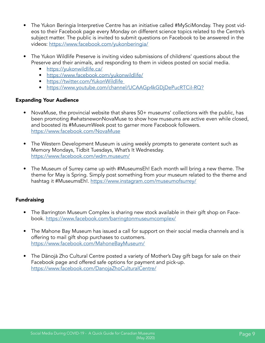- The Yukon Beringia Interpretive Centre has an initiative called #MySciMonday. They post videos to their Facebook page every Monday on different science topics related to the Centre's subject matter. The public is invited to submit questions on Facebook to be answered in the videos: <https://www.facebook.com/yukonberingia/>
- The Yukon Wildlife Preserve is inviting video submissions of childrens' questions about the Preserve and their animals, and responding to them in videos posted on social media.
	- <https://yukonwildlife.ca/>
	- <https://www.facebook.com/yukonwildlife/>
	- <https://twitter.com/YukonWildlife>
	- <https://www.youtube.com/channel/UCAAGp4kGDjDePucRTCiI-RQ?>

#### Expanding Your Audience

- NovaMuse, the provincial website that shares 50+ museums' collections with the public, has been promoting #whatsnewonNovaMuse to show how museums are active even while closed, and boosted its #MuseumWeek post to garner more Facebook followers. <https://www.facebook.com/NovaMuse>
- The Western Development Museum is using weekly prompts to generate content such as Memory Mondays, Tidbit Tuesdays, What's It Wednesday. <https://www.facebook.com/wdm.museum/>
- The Museum of Surrey came up with #MuseumsEh! Each month will bring a new theme. The theme for May is Spring. Simply post something from your museum related to the theme and hashtag it #MuseumsEh!.<https://www.instagram.com/museumofsurrey/>

#### Fundraising

- The Barrington Museum Complex is sharing new stock available in their gift shop on Facebook. <https://www.facebook.com/barringtonmuseumcomplex/>
- The Mahone Bay Museum has issued a call for support on their social media channels and is offering to mail gift shop purchases to customers. <https://www.facebook.com/MahoneBayMuseum/>
- The Dänojà Zho Cultural Centre posted a variety of Mother's Day gift bags for sale on their Facebook page and offered safe options for payment and pick-up. <https://www.facebook.com/DanojaZhoCulturalCentre/>